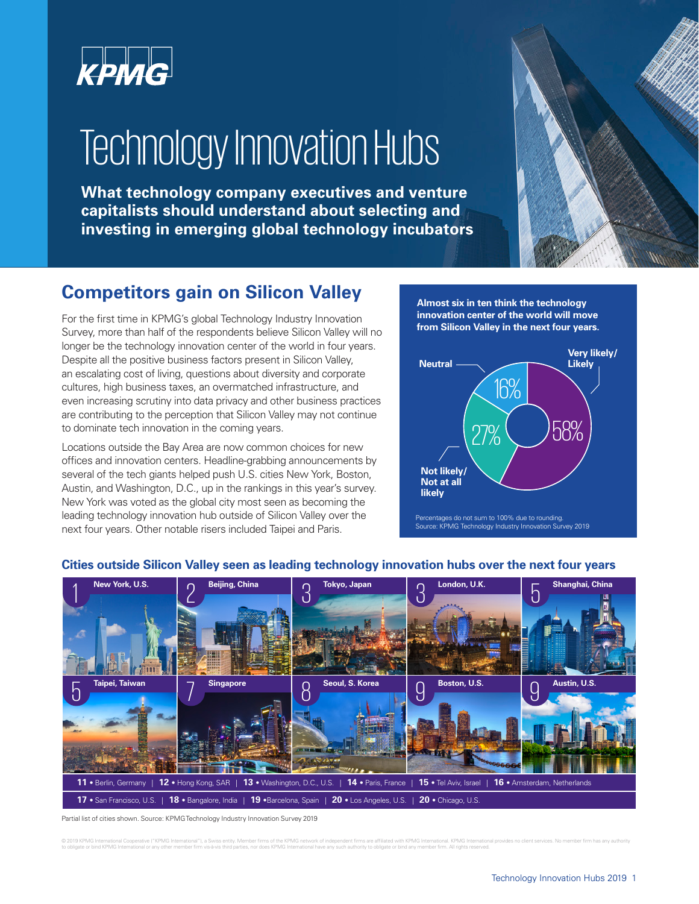

# **Technology Innovation Hubs**

**What technology company executives and venture capitalists should understand about selecting and investing in emerging global technology incubators**



## **Competitors gain on Silicon Valley**

For the first time in KPMG's global Technology Industry Innovation Survey, more than half of the respondents believe Silicon Valley will no longer be the technology innovation center of the world in four years. Despite all the positive business factors present in Silicon Valley, an escalating cost of living, questions about diversity and corporate cultures, high business taxes, an overmatched infrastructure, and even increasing scrutiny into data privacy and other business practices are contributing to the perception that Silicon Valley may not continue to dominate tech innovation in the coming years.

Locations outside the Bay Area are now common choices for new offices and innovation centers. Headline-grabbing announcements by several of the tech giants helped push U.S. cities New York, Boston, Austin, and Washington, D.C., up in the rankings in this year's survey. New York was voted as the global city most seen as becoming the leading technology innovation hub outside of Silicon Valley over the next four years. Other notable risers included Taipei and Paris.

**Almost six in ten think the technology innovation center of the world will move from Silicon Valley in the next four years.** 







#### **Cities outside Silicon Valley seen as leading technology innovation hubs over the next four years**

Partial list of cities shown. Source: KPMG Technology Industry Innovation Survey 2019

© 2019 KPMG International Cooperative ("KPMG International"), a Swiss entity. Member firms of the KPMG network of independent firms are affiliated with KPMG International. KPMG International provides no client services. No to obligate or bind KPMG International or any other member firm vis-à-vis third parties, nor does KPMG International have any such authority to obligate or bind any member firm. All rights reserved.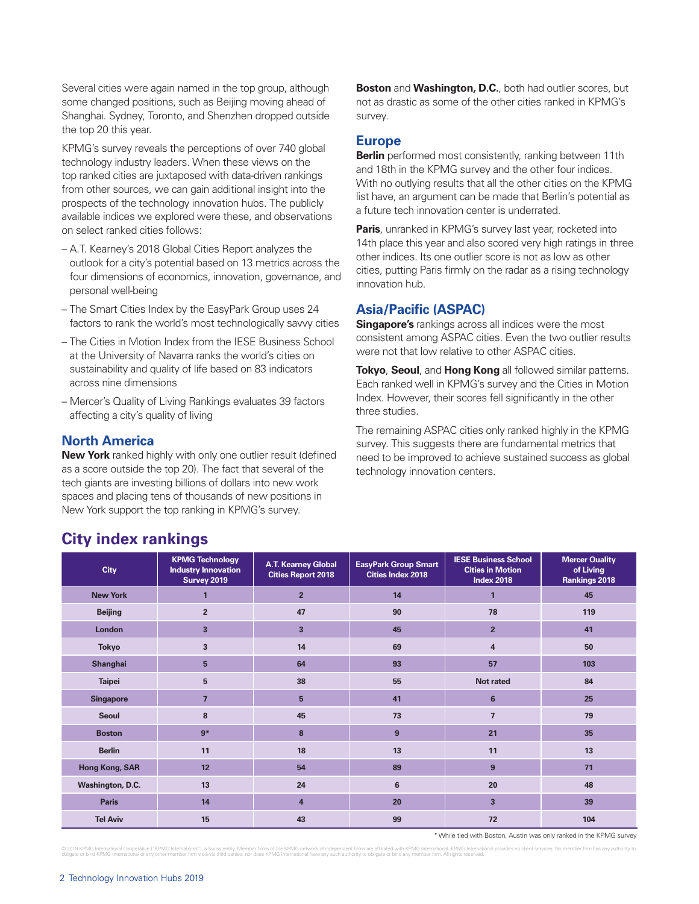Several cities were again named in the top group, although some changed positions, such as Beijing moving ahead of Shanghai. Sydney, Toronto, and Shenzhen dropped outside the top 20 this year.

KPMG's survey reveals the perceptions of over 740 global technology industry leaders. When these views on the top ranked cities are juxtaposed with data-driven rankings from other sources, we can gain additional insight into the prospects of the technology innovation hubs. The publicly available indices we explored were these, and observations on select ranked cities follows:

- A.T. Kearney's 2018 Global Cities Report analyzes the outlook for a city's potential based on 13 metrics across the four dimensions of economics, innovation, governance, and personal well-being
- The Smart Cities Index by the EasyPark Group uses 24 factors to rank the world's most technologically savvy cities
- The Cities in Motion Index from the IESE Business School at the University of Navarra ranks the world's cities on sustainability and quality of life based on 83 indicators across nine dimensions
- Mercer's Quality of Living Rankings evaluates 39 factors affecting a city's quality of living

#### **North America**

**New York** ranked highly with only one outlier result (defined as a score outside the top 20). The fact that several of the tech giants are investing billions of dollars into new work spaces and placing tens of thousands of new positions in New York support the top ranking in KPMG's survey.

**Boston** and **Washington, D.C.**, both had outlier scores, but not as drastic as some of the other cities ranked in KPMG's survey.

#### **Europe**

**Berlin** performed most consistently, ranking between 11th and 18th in the KPMG survey and the other four indices. With no outlying results that all the other cities on the KPMG list have, an argument can be made that Berlin's potential as a future tech innovation center is underrated.

**Paris**, unranked in KPMG's survey last year, rocketed into 14th place this year and also scored very high ratings in three other indices. Its one outlier score is not as low as other cities, putting Paris firmly on the radar as a rising technology innovation hub.

#### **Asia/Pacific (ASPAC)**

**Singapore's** rankings across all indices were the most consistent among ASPAC cities. Even the two outlier results were not that low relative to other ASPAC cities.

**Tokyo**, **Seoul**, and **Hong Kong** all followed similar patterns. Each ranked well in KPMG's survey and the Cities in Motion Index. However, their scores fell significantly in the other three studies.

The remaining ASPAC cities only ranked highly in the KPMG survey. This suggests there are fundamental metrics that need to be improved to achieve sustained success as global technology innovation centers.

| <b>City</b>      | <b>KPMG Technology</b><br><b>Industry Innovation</b><br><b>Survey 2019</b> | <b>A.T. Kearney Global</b><br><b>Cities Report 2018</b> | <b>EasyPark Group Smart</b><br><b>Cities Index 2018</b> | <b>IESE Business School</b><br><b>Cities in Motion</b><br><b>Index 2018</b> | <b>Mercer Quality</b><br>of Living<br>Rankings 2018 |
|------------------|----------------------------------------------------------------------------|---------------------------------------------------------|---------------------------------------------------------|-----------------------------------------------------------------------------|-----------------------------------------------------|
| <b>New York</b>  | п                                                                          | $\overline{2}$                                          | 14                                                      | $\mathbf{1}$                                                                | 45                                                  |
| <b>Beijing</b>   | $\overline{2}$                                                             | 47                                                      | 90                                                      | 78                                                                          | 119                                                 |
| London           | $\overline{\mathbf{3}}$                                                    | $\overline{\mathbf{3}}$                                 | 45                                                      | $\overline{2}$                                                              | 41                                                  |
| <b>Tokyo</b>     | $\overline{\mathbf{3}}$                                                    | 14                                                      | 69                                                      | $\overline{\mathbf{4}}$                                                     | 50                                                  |
| <b>Shanghai</b>  | 5                                                                          | 64                                                      | 93                                                      | 57                                                                          | 103                                                 |
| <b>Taipei</b>    | 5                                                                          | 38                                                      | 55                                                      | Not rated                                                                   | 84                                                  |
| <b>Singapore</b> | $\overline{7}$                                                             | 5                                                       | 41                                                      | 6                                                                           | 25                                                  |
| <b>Seoul</b>     | 8                                                                          | 45                                                      | 73                                                      | $\overline{7}$                                                              | 79                                                  |
| <b>Boston</b>    | $9*$                                                                       | 8                                                       | 9                                                       | 21                                                                          | 35                                                  |
| <b>Berlin</b>    | 11                                                                         | 18                                                      | 13                                                      | 11                                                                          | 13                                                  |
| Hong Kong, SAR   | 12                                                                         | 54                                                      | 89                                                      | 9                                                                           | 71                                                  |
| Washington, D.C. | 13                                                                         | 24                                                      | 6                                                       | 20                                                                          | 48                                                  |
| <b>Paris</b>     | 14                                                                         | $\overline{4}$                                          | 20                                                      | $\overline{\mathbf{3}}$                                                     | 39                                                  |
| <b>Tel Aviv</b>  | 15                                                                         | 43                                                      | 99                                                      | 72                                                                          | 104                                                 |

### **City index rankings**

\* While tied with Boston, Austin was only ranked in the KPMG survey

© 2019 KPMG International Cooperative ("KPMG International"), a Swiss entity. Member firms of the KPMG network of independent firms are affiliated with KPMG International provides no client services. No member firm with a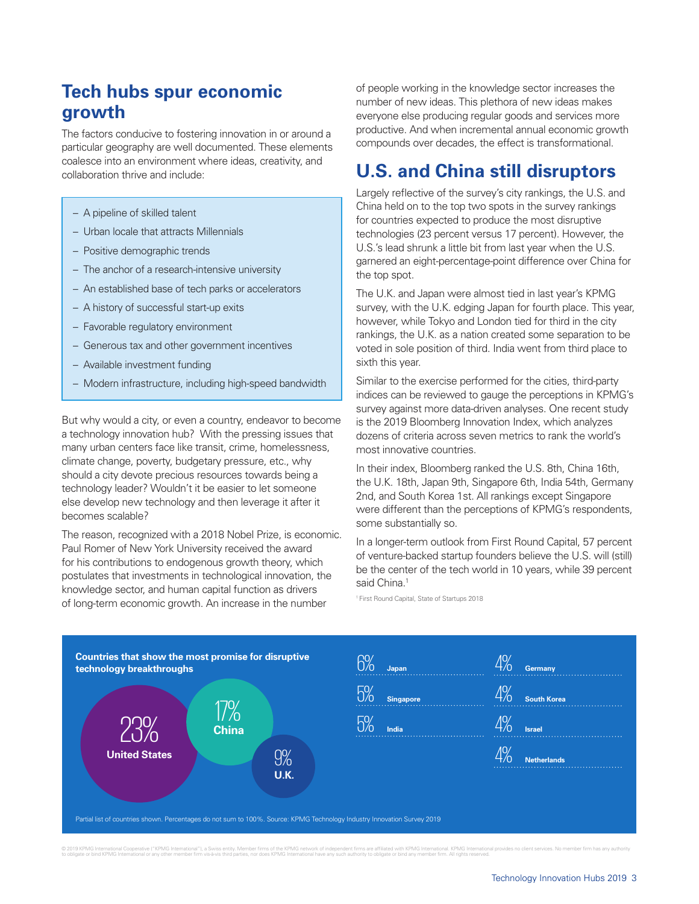## **Tech hubs spur economic growth**

The factors conducive to fostering innovation in or around a particular geography are well documented. These elements coalesce into an environment where ideas, creativity, and collaboration thrive and include:

- A pipeline of skilled talent
- Urban locale that attracts Millennials
- Positive demographic trends
- The anchor of a research-intensive university
- An established base of tech parks or accelerators
- A history of successful start-up exits
- Favorable regulatory environment
- Generous tax and other government incentives
- Available investment funding
- Modern infrastructure, including high-speed bandwidth

But why would a city, or even a country, endeavor to become a technology innovation hub? With the pressing issues that many urban centers face like transit, crime, homelessness, climate change, poverty, budgetary pressure, etc., why should a city devote precious resources towards being a technology leader? Wouldn't it be easier to let someone else develop new technology and then leverage it after it becomes scalable?

The reason, recognized with a 2018 Nobel Prize, is economic. Paul Romer of New York University received the award for his contributions to endogenous growth theory, which postulates that investments in technological innovation, the knowledge sector, and human capital function as drivers of long-term economic growth. An increase in the number

of people working in the knowledge sector increases the number of new ideas. This plethora of new ideas makes everyone else producing regular goods and services more productive. And when incremental annual economic growth compounds over decades, the effect is transformational.

## **U.S. and China still disruptors**

Largely reflective of the survey's city rankings, the U.S. and China held on to the top two spots in the survey rankings for countries expected to produce the most disruptive technologies (23 percent versus 17 percent). However, the U.S.'s lead shrunk a little bit from last year when the U.S. garnered an eight-percentage-point difference over China for the top spot.

The U.K. and Japan were almost tied in last year's KPMG survey, with the U.K. edging Japan for fourth place. This year, however, while Tokyo and London tied for third in the city rankings, the U.K. as a nation created some separation to be voted in sole position of third. India went from third place to sixth this year.

Similar to the exercise performed for the cities, third-party indices can be reviewed to gauge the perceptions in KPMG's survey against more data-driven analyses. One recent study is the 2019 Bloomberg Innovation Index, which analyzes dozens of criteria across seven metrics to rank the world's most innovative countries.

In their index, Bloomberg ranked the U.S. 8th, China 16th, the U.K. 18th, Japan 9th, Singapore 6th, India 54th, Germany 2nd, and South Korea 1st. All rankings except Singapore were different than the perceptions of KPMG's respondents, some substantially so.

In a longer-term outlook from First Round Capital, 57 percent of venture-backed startup founders believe the U.S. will (still) be the center of the tech world in 10 years, while 39 percent said China.<sup>1</sup>

1 First Round Capital, State of Startups 2018



© 2019 KPMG international Cooperative ("KPMG international"), a Swiss entity. Member firms of the KPMG network of independent firms are affiliated with KPMG international have been the stroken to color the stroken in the s